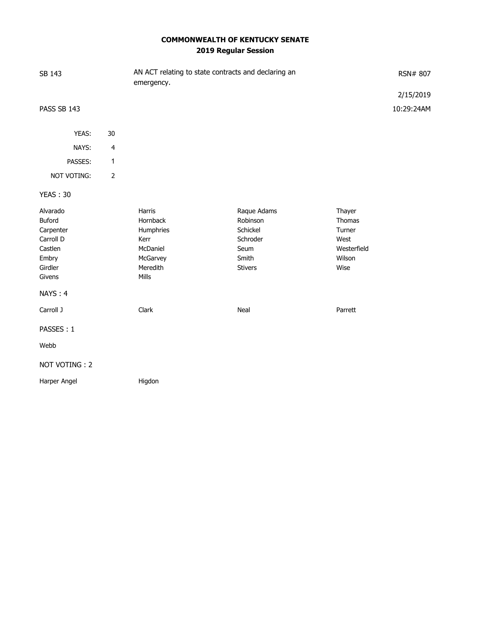# **COMMONWEALTH OF KENTUCKY SENATE 2019 Regular Session**

| SB 143                                                                                           |                         | AN ACT relating to state contracts and declaring an<br>emergency.                    |                                                                                    |                                                                     | RSN# 807   |  |
|--------------------------------------------------------------------------------------------------|-------------------------|--------------------------------------------------------------------------------------|------------------------------------------------------------------------------------|---------------------------------------------------------------------|------------|--|
|                                                                                                  |                         |                                                                                      |                                                                                    |                                                                     | 2/15/2019  |  |
| PASS SB 143                                                                                      |                         |                                                                                      |                                                                                    |                                                                     | 10:29:24AM |  |
| YEAS:                                                                                            | 30                      |                                                                                      |                                                                                    |                                                                     |            |  |
| NAYS:                                                                                            | $\overline{\mathbf{4}}$ |                                                                                      |                                                                                    |                                                                     |            |  |
| PASSES:                                                                                          | 1                       |                                                                                      |                                                                                    |                                                                     |            |  |
| NOT VOTING:                                                                                      | $\overline{2}$          |                                                                                      |                                                                                    |                                                                     |            |  |
| <b>YEAS: 30</b>                                                                                  |                         |                                                                                      |                                                                                    |                                                                     |            |  |
| Alvarado<br>Buford<br>Carpenter<br>Carroll D<br>Castlen<br>Embry<br>Girdler<br>Givens<br>NAYS: 4 |                         | Harris<br>Hornback<br>Humphries<br>Kerr<br>McDaniel<br>McGarvey<br>Meredith<br>Mills | Raque Adams<br>Robinson<br>Schickel<br>Schroder<br>Seum<br>Smith<br><b>Stivers</b> | Thayer<br>Thomas<br>Turner<br>West<br>Westerfield<br>Wilson<br>Wise |            |  |
| Carroll J                                                                                        |                         | Clark                                                                                | Neal                                                                               | Parrett                                                             |            |  |
| PASSES: 1                                                                                        |                         |                                                                                      |                                                                                    |                                                                     |            |  |
| Webb                                                                                             |                         |                                                                                      |                                                                                    |                                                                     |            |  |
| NOT VOTING: 2                                                                                    |                         |                                                                                      |                                                                                    |                                                                     |            |  |
| Harper Angel                                                                                     |                         | Higdon                                                                               |                                                                                    |                                                                     |            |  |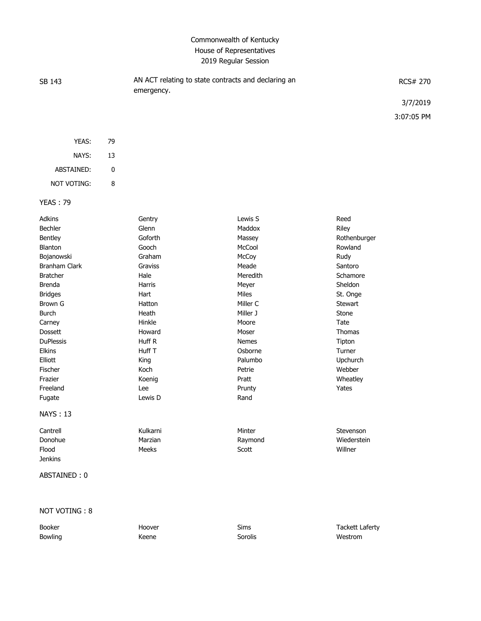### Commonwealth of Kentucky House of Representatives 2019 Regular Session

| SB 143 | AN ACT relating to state contracts and declaring an<br>emergency. | RCS# 270   |
|--------|-------------------------------------------------------------------|------------|
|        |                                                                   | 3/7/2019   |
|        |                                                                   | 3:07:05 PM |
|        |                                                                   |            |

| YEAS:       | 79 |
|-------------|----|
| NAYS:       | 13 |
| ARSTAINED:  | U  |
| NOT VOTING: | я  |

#### YEAS : 79

| <b>Adkins</b>        | Gentry        | Lewis S      | Reed           |
|----------------------|---------------|--------------|----------------|
| <b>Bechler</b>       | Glenn         | Maddox       | Riley          |
| Bentley              | Goforth       | Massey       | Rothenburger   |
| <b>Blanton</b>       | Gooch         | McCool       | Rowland        |
| Bojanowski           | Graham        | McCoy        | Rudy           |
| <b>Branham Clark</b> | Graviss       | Meade        | Santoro        |
| <b>Bratcher</b>      | Hale          | Meredith     | Schamore       |
| <b>Brenda</b>        | <b>Harris</b> | Meyer        | Sheldon        |
| <b>Bridges</b>       | Hart          | <b>Miles</b> | St. Onge       |
| <b>Brown G</b>       | Hatton        | Miller C     | <b>Stewart</b> |
| <b>Burch</b>         | Heath         | Miller J     | Stone          |
| Carney               | Hinkle        | Moore        | Tate           |
| <b>Dossett</b>       | Howard        | Moser        | <b>Thomas</b>  |
| <b>DuPlessis</b>     | Huff R        | <b>Nemes</b> | Tipton         |
| <b>Elkins</b>        | Huff T        | Osborne      | Turner         |
| Elliott              | King          | Palumbo      | Upchurch       |
| Fischer              | Koch          | Petrie       | Webber         |
| Frazier              | Koenig        | Pratt        | Wheatley       |
| Freeland             | Lee           | Prunty       | Yates          |
| Fugate               | Lewis D       | Rand         |                |
| <b>NAYS: 13</b>      |               |              |                |
| Cantrell             | Kulkarni      | Minter       | Stevenson      |
| Donohue              | Marzian       | Raymond      | Wiederstein    |
| Flood                | Meeks         | Scott        | Willner        |
| <b>Jenkins</b>       |               |              |                |
| ABSTAINED: 0         |               |              |                |

### NOT VOTING : 8

Bowling Network Charles Controller Messenger Sorolis Sorolis Network Westrom

Booker **Example 20** Hoover **Sims** Sims Tackett Laferty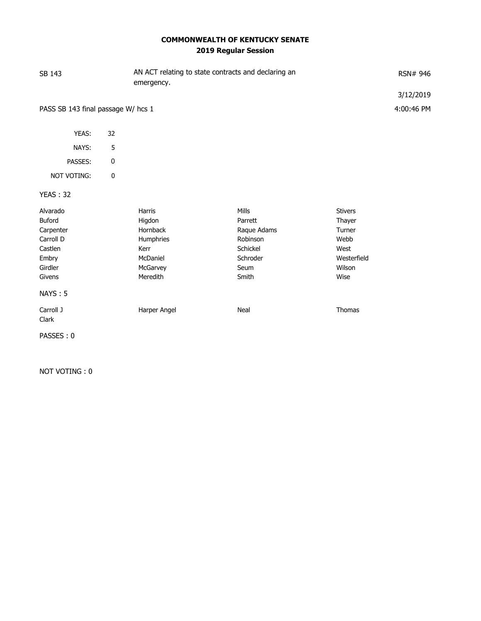# **COMMONWEALTH OF KENTUCKY SENATE 2019 Regular Session**

| AN ACT relating to state contracts and declaring an<br>SB 143<br>emergency.                  |           |                                                                                       |                                                                                             | RSN# 946                                                                            |                         |
|----------------------------------------------------------------------------------------------|-----------|---------------------------------------------------------------------------------------|---------------------------------------------------------------------------------------------|-------------------------------------------------------------------------------------|-------------------------|
| PASS SB 143 final passage W/ hcs 1                                                           |           |                                                                                       |                                                                                             |                                                                                     | 3/12/2019<br>4:00:46 PM |
| YEAS:                                                                                        | 32        |                                                                                       |                                                                                             |                                                                                     |                         |
| NAYS:                                                                                        | 5         |                                                                                       |                                                                                             |                                                                                     |                         |
| PASSES:                                                                                      | $\pmb{0}$ |                                                                                       |                                                                                             |                                                                                     |                         |
| NOT VOTING:                                                                                  | $\pmb{0}$ |                                                                                       |                                                                                             |                                                                                     |                         |
| <b>YEAS: 32</b>                                                                              |           |                                                                                       |                                                                                             |                                                                                     |                         |
| Alvarado<br><b>Buford</b><br>Carpenter<br>Carroll D<br>Castlen<br>Embry<br>Girdler<br>Givens |           | Harris<br>Higdon<br>Hornback<br>Humphries<br>Kerr<br>McDaniel<br>McGarvey<br>Meredith | <b>Mills</b><br>Parrett<br>Raque Adams<br>Robinson<br>Schickel<br>Schroder<br>Seum<br>Smith | <b>Stivers</b><br>Thayer<br>Turner<br>Webb<br>West<br>Westerfield<br>Wilson<br>Wise |                         |
| <b>NAYS: 5</b>                                                                               |           |                                                                                       |                                                                                             |                                                                                     |                         |
| Carroll J<br>Clark                                                                           |           | Harper Angel                                                                          | Neal                                                                                        | Thomas                                                                              |                         |
| PASSES: 0                                                                                    |           |                                                                                       |                                                                                             |                                                                                     |                         |

NOT VOTING : 0